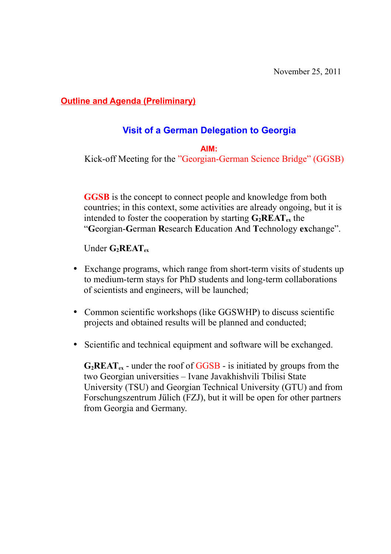**Outline and Agenda (Preliminary)**

# **Visit of a German Delegation to Georgia**

**AIM:** 

Kick-off Meeting for the "Georgian-German Science Bridge" (GGSB)

**GGSB** is the concept to connect people and knowledge from both countries; in this context, some activities are already ongoing, but it is intended to foster the cooperation by starting  $G_2REAT_{ex}$  the "**G**eorgian-**G**erman **R**esearch **E**ducation **A**nd **T**echnology **ex**change".

Under **G2REATex**

- Exchange programs, which range from short-term visits of students up to medium-term stays for PhD students and long-term collaborations of scientists and engineers, will be launched;
- Common scientific workshops (like GGSWHP) to discuss scientific projects and obtained results will be planned and conducted;
- Scientific and technical equipment and software will be exchanged.

 $G_2$ **REAT**<sub>ex</sub> - under the roof of  $GGSB$  - is initiated by groups from the two Georgian universities – Ivane Javakhishvili Tbilisi State University (TSU) and Georgian Technical University (GTU) and from Forschungszentrum Jülich (FZJ), but it will be open for other partners from Georgia and Germany.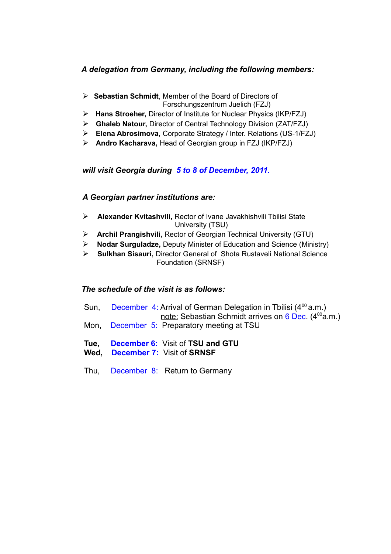### *A delegation from Germany, including the following members:*

- **Sebastian Schmidt**, Member of the Board of Directors of Forschungszentrum Juelich (FZJ)
- **Hans Stroeher,** Director of Institute for Nuclear Physics (IKP/FZJ)
- **Ghaleb Natour,** Director of Central Technology Division (ZAT/FZJ)
- **Elena Abrosimova,** Corporate Strategy / Inter. Relations (US-1/FZJ)
- **Andro Kacharava,** Head of Georgian group in FZJ (IKP/FZJ)

#### *will visit Georgia during 5 to 8 of December, 2011.*

#### *A Georgian partner institutions are:*

- **Alexander Kvitashvili,** Rector of Ivane Javakhishvili Tbilisi State University (TSU)
- **Archil Prangishvili,** Rector of Georgian Technical University (GTU)
- **Nodar Surguladze,** Deputy Minister of Education and Science (Ministry)
- **Sulkhan Sisauri,** Director General of Shota Rustaveli National Science Foundation (SRNSF)

#### *The schedule of the visit is as follows:*

- Sun, December 4: Arrival of German Delegation in Tbilisi  $(4^{00} a.m.)$ note: Sebastian Schmidt arrives on 6 Dec.  $(4^{00}a.m.)$ Mon,December 5: Preparatory meeting at TSU
- **Tue, December 6:** Visit of **TSU and GTU**
- **Wed, December 7:** Visit of **SRNSF**
- Thu, December 8: Return to Germany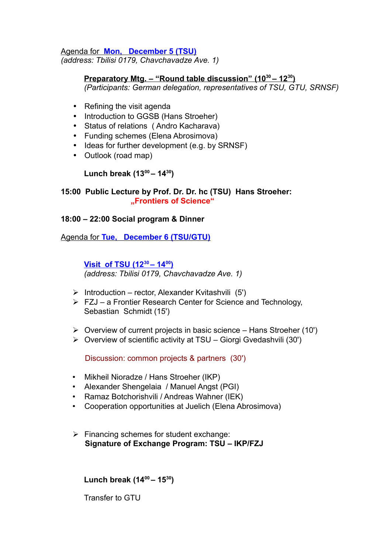Agenda for **Mon, December 5 (TSU)** *(address: Tbilisi 0179, Chavchavadze Ave. 1)*

#### **Preparatory Mtg. – "Round table discussion" (10<sup>30</sup> – 12<sup>30</sup> )** *(Participants: German delegation, representatives of TSU, GTU, SRNSF)*

- Refining the visit agenda
- Introduction to GGSB (Hans Stroeher)
- Status of relations ( Andro Kacharava)
- Funding schemes (Elena Abrosimova)
- Ideas for further development (e.g. by SRNSF)
- Outlook (road map)

## **Lunch break (13<sup>00</sup>– 14<sup>30</sup>)**

### **15:00 Public Lecture by Prof. Dr. Dr. hc (TSU) Hans Stroeher: "Frontiers of Science"**

### **18:00 – 22:00 Social program & Dinner**

Agenda for **Tue, December 6 (TSU/GTU)**

#### **Visit of TSU (12<sup>30</sup> – 14<sup>00</sup> )** *(address: Tbilisi 0179, Chavchavadze Ave. 1)*

- $\triangleright$  Introduction rector, Alexander Kvitashvili (5')
- $\triangleright$  FZJ a Frontier Research Center for Science and Technology, Sebastian Schmidt (15')
- $\triangleright$  Overview of current projects in basic science Hans Stroeher (10')
- $\triangleright$  Overview of scientific activity at TSU Giorgi Gvedashvili (30')

Discussion: common projects & partners (30')

- Mikheil Nioradze / Hans Stroeher (IKP)
- Alexander Shengelaia / Manuel Angst (PGI)
- Ramaz Botchorishvili / Andreas Wahner (IEK)
- Cooperation opportunities at Juelich (Elena Abrosimova)
- $\triangleright$  Financing schemes for student exchange:  **Signature of Exchange Program: TSU – IKP/FZJ**

**Lunch break (14<sup>00</sup>– 15<sup>30</sup>)**

Transfer to GTU